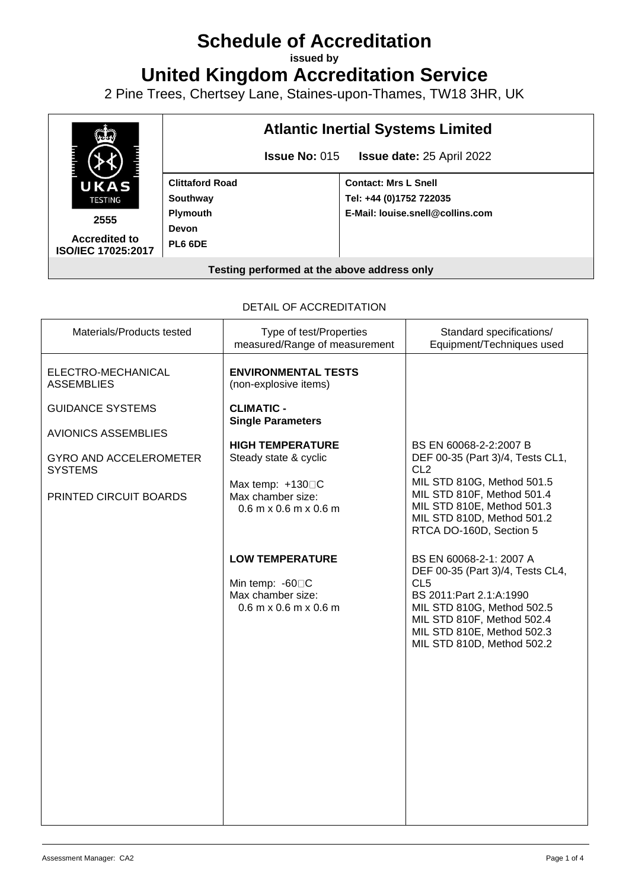# **Schedule of Accreditation**

**issued by**

**United Kingdom Accreditation Service**

2 Pine Trees, Chertsey Lane, Staines-upon-Thames, TW18 3HR, UK



#### DETAIL OF ACCREDITATION

| Materials/Products tested                       | Type of test/Properties<br>measured/Range of measurement                                                   | Standard specifications/<br>Equipment/Techniques used                                                                                                                                                                                |
|-------------------------------------------------|------------------------------------------------------------------------------------------------------------|--------------------------------------------------------------------------------------------------------------------------------------------------------------------------------------------------------------------------------------|
| ELECTRO-MECHANICAL<br><b>ASSEMBLIES</b>         | <b>ENVIRONMENTAL TESTS</b><br>(non-explosive items)                                                        |                                                                                                                                                                                                                                      |
| <b>GUIDANCE SYSTEMS</b>                         | <b>CLIMATIC -</b><br><b>Single Parameters</b>                                                              |                                                                                                                                                                                                                                      |
| <b>AVIONICS ASSEMBLIES</b>                      |                                                                                                            |                                                                                                                                                                                                                                      |
| <b>GYRO AND ACCELEROMETER</b><br><b>SYSTEMS</b> | <b>HIGH TEMPERATURE</b><br>Steady state & cyclic                                                           | BS EN 60068-2-2:2007 B<br>DEF 00-35 (Part 3)/4, Tests CL1,<br>CL <sub>2</sub>                                                                                                                                                        |
| PRINTED CIRCUIT BOARDS                          | Max temp: $+130\square C$<br>Max chamber size:<br>$0.6$ m x $0.6$ m x $0.6$ m                              | MIL STD 810G, Method 501.5<br>MIL STD 810F, Method 501.4<br>MIL STD 810E, Method 501.3<br>MIL STD 810D, Method 501.2<br>RTCA DO-160D, Section 5                                                                                      |
|                                                 | <b>LOW TEMPERATURE</b><br>Min temp: -60 <sup>O</sup> C<br>Max chamber size:<br>$0.6$ m x $0.6$ m x $0.6$ m | BS EN 60068-2-1: 2007 A<br>DEF 00-35 (Part 3)/4, Tests CL4,<br>CL <sub>5</sub><br>BS 2011: Part 2.1: A: 1990<br>MIL STD 810G, Method 502.5<br>MIL STD 810F, Method 502.4<br>MIL STD 810E, Method 502.3<br>MIL STD 810D, Method 502.2 |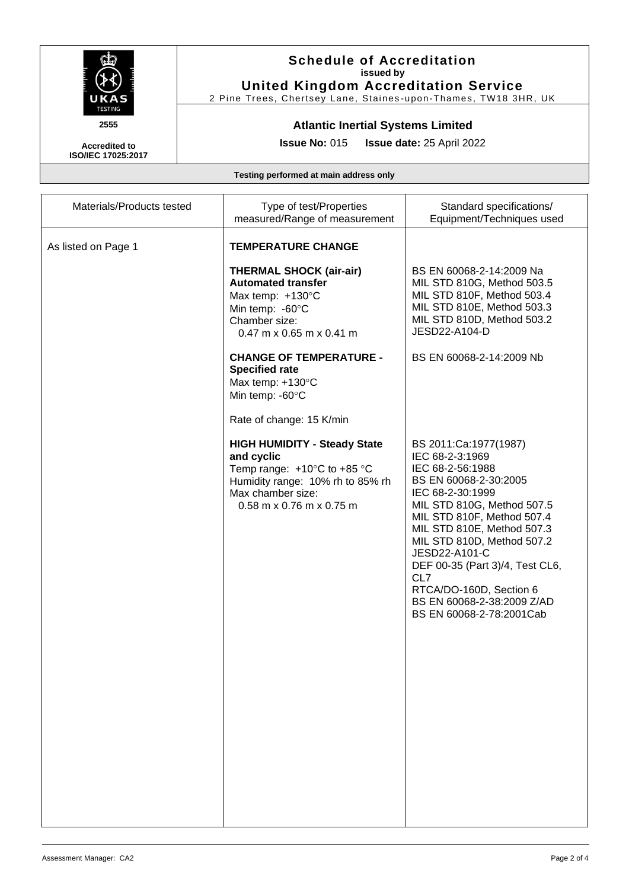

### **Schedule of Accreditation issued by United Kingdom Accreditation Service**

2 Pine Trees, Chertsey Lane, Staines -upon -Thames, TW18 3HR, UK

## **Atlantic Inertial Systems Limited**

**Issue No:** 015 **Issue date:** 25 April 2022

**Accredited to ISO/IEC 17025:2017**

**Testing performed at main address only**

| Materials/Products tested | Type of test/Properties<br>measured/Range of measurement                                                                                                                                   | Standard specifications/<br>Equipment/Techniques used                                                                                                                                                                                                                                                                                                                             |
|---------------------------|--------------------------------------------------------------------------------------------------------------------------------------------------------------------------------------------|-----------------------------------------------------------------------------------------------------------------------------------------------------------------------------------------------------------------------------------------------------------------------------------------------------------------------------------------------------------------------------------|
| As listed on Page 1       | <b>TEMPERATURE CHANGE</b><br><b>THERMAL SHOCK (air-air)</b><br><b>Automated transfer</b><br>Max temp: $+130^{\circ}$ C<br>Min temp: -60°C                                                  | BS EN 60068-2-14:2009 Na<br>MIL STD 810G, Method 503.5<br>MIL STD 810F, Method 503.4<br>MIL STD 810E, Method 503.3                                                                                                                                                                                                                                                                |
|                           | Chamber size:<br>$0.47$ m x 0.65 m x 0.41 m                                                                                                                                                | MIL STD 810D, Method 503.2<br>JESD22-A104-D                                                                                                                                                                                                                                                                                                                                       |
|                           | <b>CHANGE OF TEMPERATURE -</b><br><b>Specified rate</b><br>Max temp: +130°C<br>Min temp: -60°C<br>Rate of change: 15 K/min                                                                 | BS EN 60068-2-14:2009 Nb                                                                                                                                                                                                                                                                                                                                                          |
|                           | <b>HIGH HUMIDITY - Steady State</b><br>and cyclic<br>Temp range: $+10^{\circ}$ C to $+85^{\circ}$ C<br>Humidity range: 10% rh to 85% rh<br>Max chamber size:<br>$0.58$ m x 0.76 m x 0.75 m | BS 2011:Ca:1977(1987)<br>IEC 68-2-3:1969<br>IEC 68-2-56:1988<br>BS EN 60068-2-30:2005<br>IEC 68-2-30:1999<br>MIL STD 810G, Method 507.5<br>MIL STD 810F, Method 507.4<br>MIL STD 810E, Method 507.3<br>MIL STD 810D, Method 507.2<br>JESD22-A101-C<br>DEF 00-35 (Part 3)/4, Test CL6,<br>CL7<br>RTCA/DO-160D, Section 6<br>BS EN 60068-2-38:2009 Z/AD<br>BS EN 60068-2-78:2001Cab |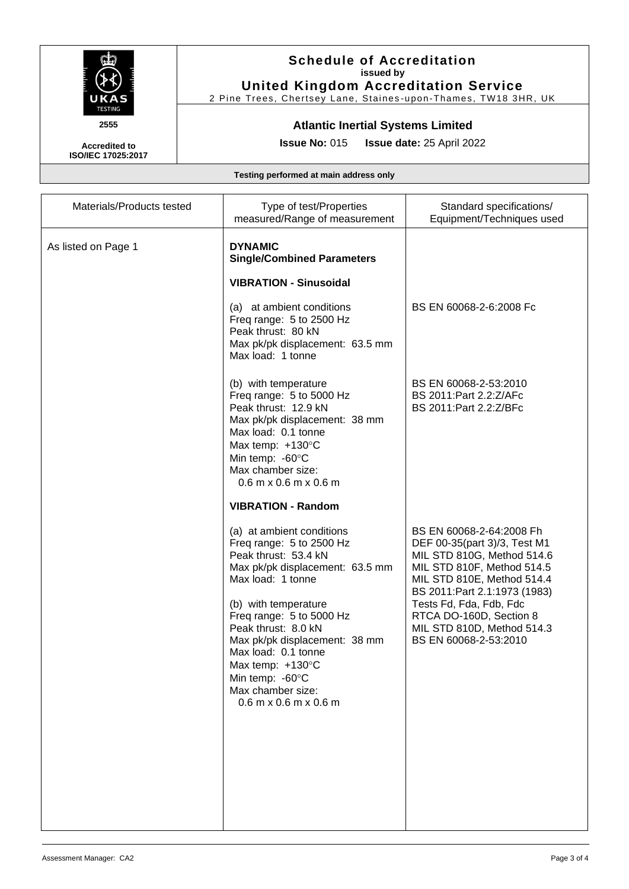

### **Schedule of Accreditation issued by United Kingdom Accreditation Service**

2 Pine Trees, Chertsey Lane, Staines -upon -Thames, TW18 3HR, UK

## **Atlantic Inertial Systems Limited**

**Issue No:** 015 **Issue date:** 25 April 2022

**Accredited to ISO/IEC 17025:2017**

**Testing performed at main address only**

| Materials/Products tested | Type of test/Properties                                                                                                                                                                                                                                                                                                                                                       | Standard specifications/                                                                                                                                                                                                                                                                          |
|---------------------------|-------------------------------------------------------------------------------------------------------------------------------------------------------------------------------------------------------------------------------------------------------------------------------------------------------------------------------------------------------------------------------|---------------------------------------------------------------------------------------------------------------------------------------------------------------------------------------------------------------------------------------------------------------------------------------------------|
|                           | measured/Range of measurement                                                                                                                                                                                                                                                                                                                                                 | Equipment/Techniques used                                                                                                                                                                                                                                                                         |
| As listed on Page 1       | <b>DYNAMIC</b><br><b>Single/Combined Parameters</b>                                                                                                                                                                                                                                                                                                                           |                                                                                                                                                                                                                                                                                                   |
|                           | <b>VIBRATION - Sinusoidal</b>                                                                                                                                                                                                                                                                                                                                                 |                                                                                                                                                                                                                                                                                                   |
|                           | (a) at ambient conditions<br>Freq range: 5 to 2500 Hz<br>Peak thrust: 80 kN<br>Max pk/pk displacement: 63.5 mm<br>Max load: 1 tonne                                                                                                                                                                                                                                           | BS EN 60068-2-6:2008 Fc                                                                                                                                                                                                                                                                           |
|                           | (b) with temperature<br>Freq range: 5 to 5000 Hz<br>Peak thrust: 12.9 kN<br>Max pk/pk displacement: 38 mm<br>Max load: 0.1 tonne<br>Max temp: $+130^{\circ}$ C<br>Min temp: -60°C<br>Max chamber size:<br>$0.6$ m x $0.6$ m x $0.6$ m                                                                                                                                         | BS EN 60068-2-53:2010<br>BS 2011: Part 2.2: Z/AFc<br>BS 2011: Part 2.2: Z/BFc                                                                                                                                                                                                                     |
|                           | <b>VIBRATION - Random</b>                                                                                                                                                                                                                                                                                                                                                     |                                                                                                                                                                                                                                                                                                   |
|                           | (a) at ambient conditions<br>Freq range: 5 to 2500 Hz<br>Peak thrust: 53.4 kN<br>Max pk/pk displacement: 63.5 mm<br>Max load: 1 tonne<br>(b) with temperature<br>Freq range: 5 to 5000 Hz<br>Peak thrust: 8.0 kN<br>Max pk/pk displacement: 38 mm<br>Max load: 0.1 tonne<br>Max temp: $+130^{\circ}$ C<br>Min temp: -60°C<br>Max chamber size:<br>$0.6$ m x $0.6$ m x $0.6$ m | BS EN 60068-2-64:2008 Fh<br>DEF 00-35(part 3)/3, Test M1<br>MIL STD 810G, Method 514.6<br>MIL STD 810F, Method 514.5<br>MIL STD 810E, Method 514.4<br>BS 2011: Part 2.1: 1973 (1983)<br>Tests Fd, Fda, Fdb, Fdc<br>RTCA DO-160D, Section 8<br>MIL STD 810D, Method 514.3<br>BS EN 60068-2-53:2010 |
|                           |                                                                                                                                                                                                                                                                                                                                                                               |                                                                                                                                                                                                                                                                                                   |